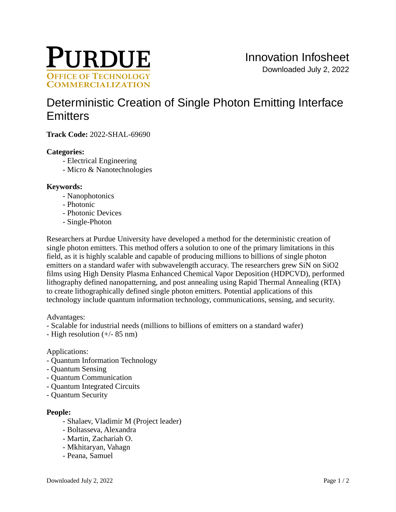

# [Deterministic Creation of Single Photon Emitting Interface](https://inventions.prf.org/innovation/8303)  **[Emitters](https://inventions.prf.org/innovation/8303)**

**Track Code:** 2022-SHAL-69690

#### **Categories:**

- Electrical Engineering
- Micro & Nanotechnologies

#### **Keywords:**

- Nanophotonics
- Photonic
- Photonic Devices
- Single-Photon

Researchers at Purdue University have developed a method for the deterministic creation of single photon emitters. This method offers a solution to one of the primary limitations in this field, as it is highly scalable and capable of producing millions to billions of single photon emitters on a standard wafer with subwavelength accuracy. The researchers grew SiN on SiO2 films using High Density Plasma Enhanced Chemical Vapor Deposition (HDPCVD), performed lithography defined nanopatterning, and post annealing using Rapid Thermal Annealing (RTA) to create lithographically defined single photon emitters. Potential applications of this technology include quantum information technology, communications, sensing, and security.

Advantages:

- Scalable for industrial needs (millions to billions of emitters on a standard wafer)
- High resolution (+/- 85 nm)

#### Applications:

- Quantum Information Technology
- Quantum Sensing
- Quantum Communication
- Quantum Integrated Circuits
- Quantum Security

#### **People:**

- Shalaev, Vladimir M (Project leader)
- Boltasseva, Alexandra
- Martin, Zachariah O.
- Mkhitaryan, Vahagn
- Peana, Samuel